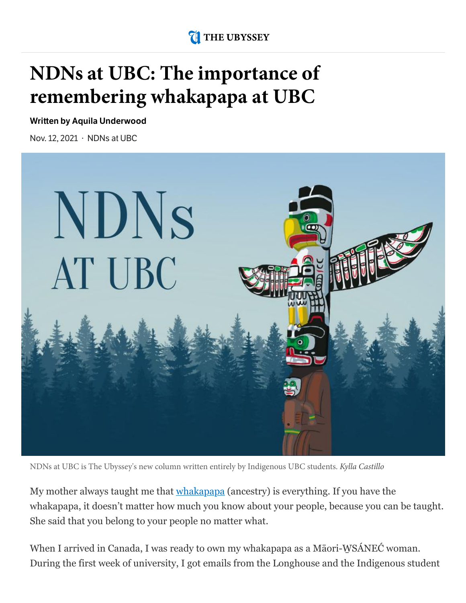### **THE UBYSSEY**

# **NDNs at UBC: The importance of remembering whakapapa at UBC**

**Written by Aquila [Underwood](https://www.ubyssey.ca/authors/aquila-underwood/)**

Nov. 12, 2021 · [NDNs](https://www.ubyssey.ca/subsection/ndns-at-ubc) at UBC



NDNs at UBC is The Ubyssey's new column written entirely by Indigenous UBC students. Kylla Castillo

My mother always taught me that [whakapapa](https://teara.govt.nz/en/whakapapa-genealogy) (ancestry) is everything. If you have the whakapapa, it doesn't matter how much you know about your people, because you can be taught. She said that you belong to your people no matter what.

When I arrived in Canada, I was ready to own my whakapapa as a Māori-WSÁNEĆ woman. During the first week of university, I got emails from the Longhouse and the Indigenous student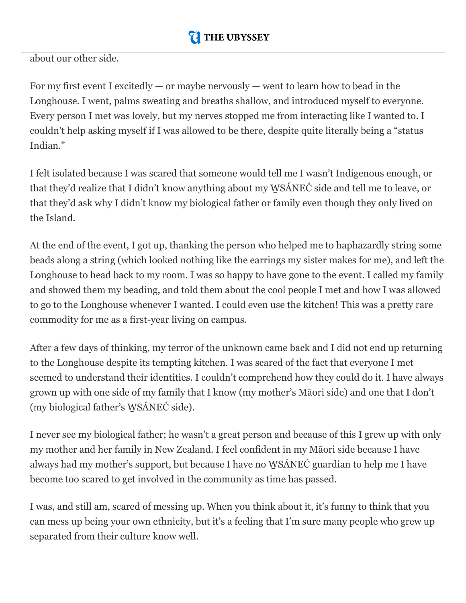#### orientation and planned to attend every event I could. I was excited to report back to my older  $\mathbf w$  mass studied was studied was to learn that all she was found was found was found was found was found was found was found was found was found was found was found was found was found was found was found was found was

about our other side.

For my first event I excitedly  $-$  or maybe nervously  $-$  went to learn how to bead in the Longhouse. I went, palms sweating and breaths shallow, and introduced myself to everyone. Every person I met was lovely, but my nerves stopped me from interacting like I wanted to. I couldn't help asking myself if I was allowed to be there, despite quite literally being a "status Indian."

I felt isolated because I was scared that someone would tell me I wasn't Indigenous enough, or that they'd realize that I didn't know anything about my W̱SÁNEĆ side and tell me to leave, or that they'd ask why I didn't know my biological father or family even though they only lived on the Island.

At the end of the event, I got up, thanking the person who helped me to haphazardly string some beads along a string (which looked nothing like the earrings my sister makes for me), and left the Longhouse to head back to my room. I was so happy to have gone to the event. I called my family and showed them my beading, and told them about the cool people I met and how I was allowed to go to the Longhouse whenever I wanted. I could even use the kitchen! This was a pretty rare commodity for me as a first-year living on campus.

After a few days of thinking, my terror of the unknown came back and I did not end up returning to the Longhouse despite its tempting kitchen. I was scared of the fact that everyone I met seemed to understand their identities. I couldn't comprehend how they could do it. I have always grown up with one side of my family that I know (my mother's Māori side) and one that I don't (my biological father's W̱SÁNEĆ side).

I never see my biological father; he wasn't a great person and because of this I grew up with only my mother and her family in New Zealand. I feel confident in my Māori side because I have always had my mother's support, but because I have no W̱SÁNEĆ guardian to help me I have become too scared to get involved in the community as time has passed.

I was, and still am, scared of messing up. When you think about it, it's funny to think that you can mess up being your own ethnicity, but it's a feeling that I'm sure many people who grew up separated from their culture know well.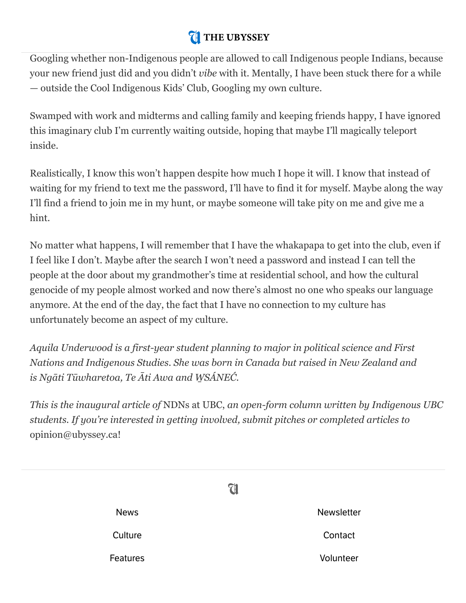#### $\mathcal{L}$  feels like there is a password to get into a secret club, and you friend was supposed to text your friend was supposed to text your friend was supposed to text your friend was supposed to text your friend was sup  $\mathbf u$  interved then  $\mathbf u$

Googling whether non-Indigenous people are allowed to call Indigenous people Indians, because your new friend just did and you didn't *vibe* with it. Mentally, I have been stuck there for a while — outside the Cool Indigenous Kids' Club, Googling my own culture.

Swamped with work and midterms and calling family and keeping friends happy, I have ignored this imaginary club I'm currently waiting outside, hoping that maybe I'll magically teleport inside.

Realistically, I know this won't happen despite how much I hope it will. I know that instead of waiting for my friend to text me the password, I'll have to find it for myself. Maybe along the way I'll find a friend to join me in my hunt, or maybe someone will take pity on me and give me a hint.

No matter what happens, I will remember that I have the whakapapa to get into the club, even if I feel like I don't. Maybe after the search I won't need a password and instead I can tell the people at the door about my grandmother's time at residential school, and how the cultural genocide of my people almost worked and now there's almost no one who speaks our language anymore. At the end of the day, the fact that I have no connection to my culture has unfortunately become an aspect of my culture.

*Aquila Underwood is a first-year student planning to major in political science and First Nations and Indigenous Studies. She was born in Canada but raised in New Zealand and is Ngāti Tūwharetoa, Te Āti Awa and W̱SÁNEĆ.*

*This is the inaugural article of* NDNs at UBC, *an open-form column written by Indigenous UBC students. If you're interested in getting involved, submit pitches or completed articles to* opinion@ubyssey.ca!